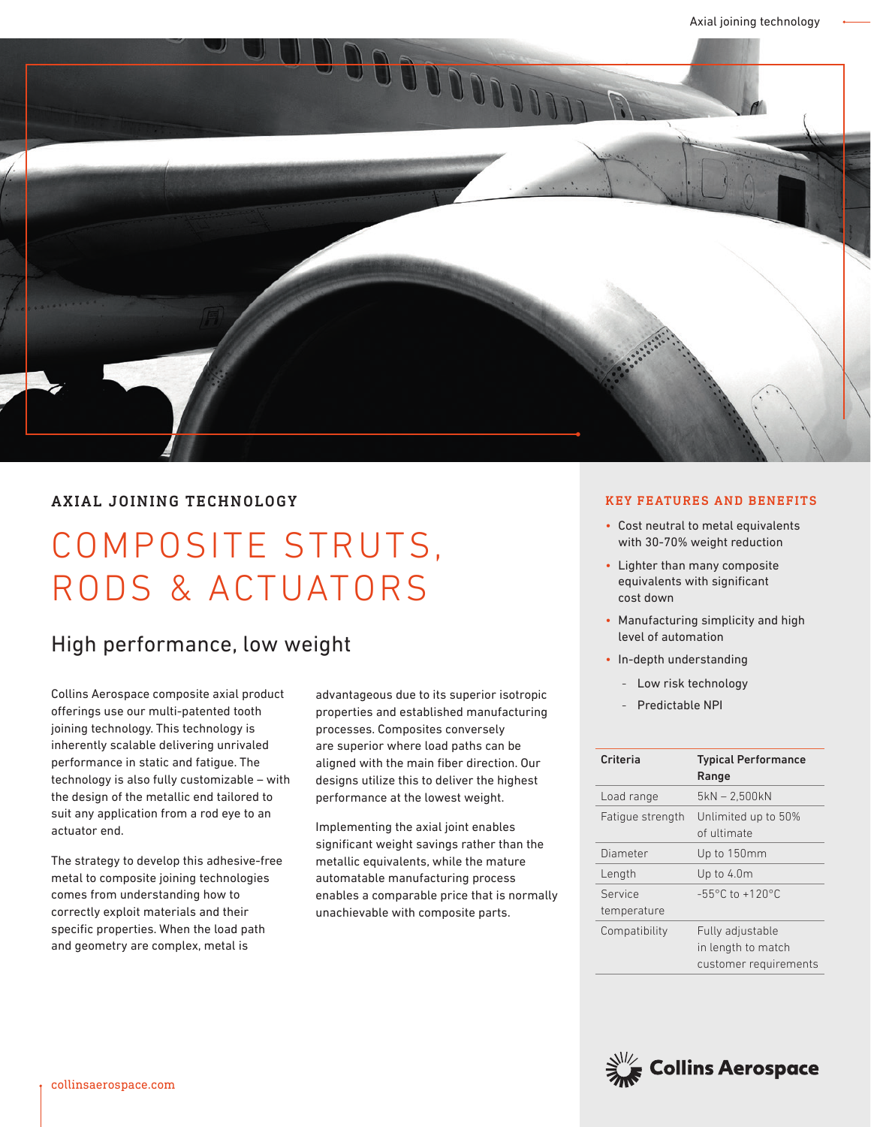

## AXIAL JOINING TECHNOLOGY

# COMPOSITE STRUTS, RODS & ACTUATORS

# High performance, low weight

Collins Aerospace composite axial product offerings use our multi-patented tooth joining technology. This technology is inherently scalable delivering unrivaled performance in static and fatigue. The technology is also fully customizable – with the design of the metallic end tailored to suit any application from a rod eye to an actuator end.

The strategy to develop this adhesive-free metal to composite joining technologies comes from understanding how to correctly exploit materials and their specific properties. When the load path and geometry are complex, metal is

advantageous due to its superior isotropic properties and established manufacturing processes. Composites conversely are superior where load paths can be aligned with the main fiber direction. Our designs utilize this to deliver the highest performance at the lowest weight.

Implementing the axial joint enables significant weight savings rather than the metallic equivalents, while the mature automatable manufacturing process enables a comparable price that is normally unachievable with composite parts.

### KEY FEATURES AND BENEFITS

- Cost neutral to metal equivalents with 30-70% weight reduction
- Lighter than many composite equivalents with significant cost down
- Manufacturing simplicity and high level of automation
- In-depth understanding
	- Low risk technology
	- Predictable NPI

| Criteria               | <b>Typical Performance</b><br>Range                             |
|------------------------|-----------------------------------------------------------------|
| Load range             | 5kN - 2,500kN                                                   |
| Fatique strength       | Unlimited up to 50%<br>of ultimate                              |
| Diameter               | Up to 150mm                                                     |
| Length                 | Up to 4.0m                                                      |
| Service<br>temperature | $-55^{\circ}$ C to $+120^{\circ}$ C                             |
| Compatibility          | Fully adjustable<br>in length to match<br>customer requirements |